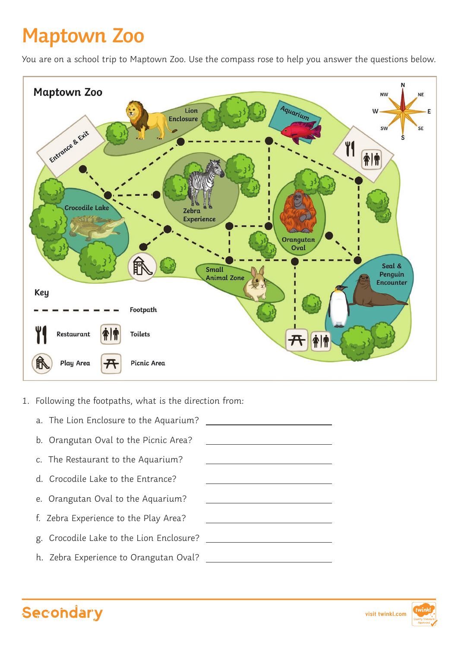## **Maptown Zoo**

You are on a school trip to Maptown Zoo. Use the compass rose to help you answer the questions below.



- 1. Following the footpaths, what is the direction from:
	- a. The Lion Enclosure to the Aquarium? b. Orangutan Oval to the Picnic Area? c. The Restaurant to the Aquarium? d. Crocodile Lake to the Entrance? e. Orangutan Oval to the Aquarium? f. Zebra Experience to the Play Area? g. Crocodile Lake to the Lion Enclosure? h. Zebra Experience to Orangutan Oval? <u> 1980 - John Stein, amerikansk politiker</u>  $\overline{a}$  $\overline{a}$  $\overline{a}$  $\overline{a}$  $\overline{a}$  $\overline{a}$  $\overline{a}$



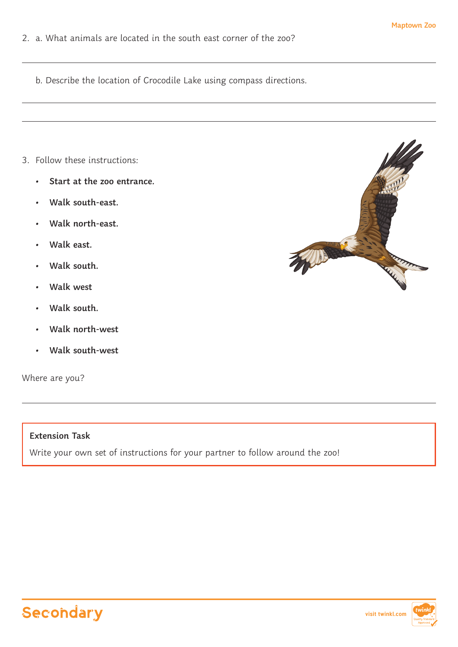- 2. a. What animals are located in the south east corner of the zoo?
	- b. Describe the location of Crocodile Lake using compass directions.

- 3. Follow these instructions:
	- **• Start at the zoo entrance.**
	- **• Walk south-east.**
	- **• Walk north-east.**
	- **• Walk east.**
	- **• Walk south.**
	- **• Walk west**
	- **• Walk south.**
	- **• Walk north-west**
	- **• Walk south-west**

Where are you?



## **Extension Task**

Write your own set of instructions for your partner to follow around the zoo!